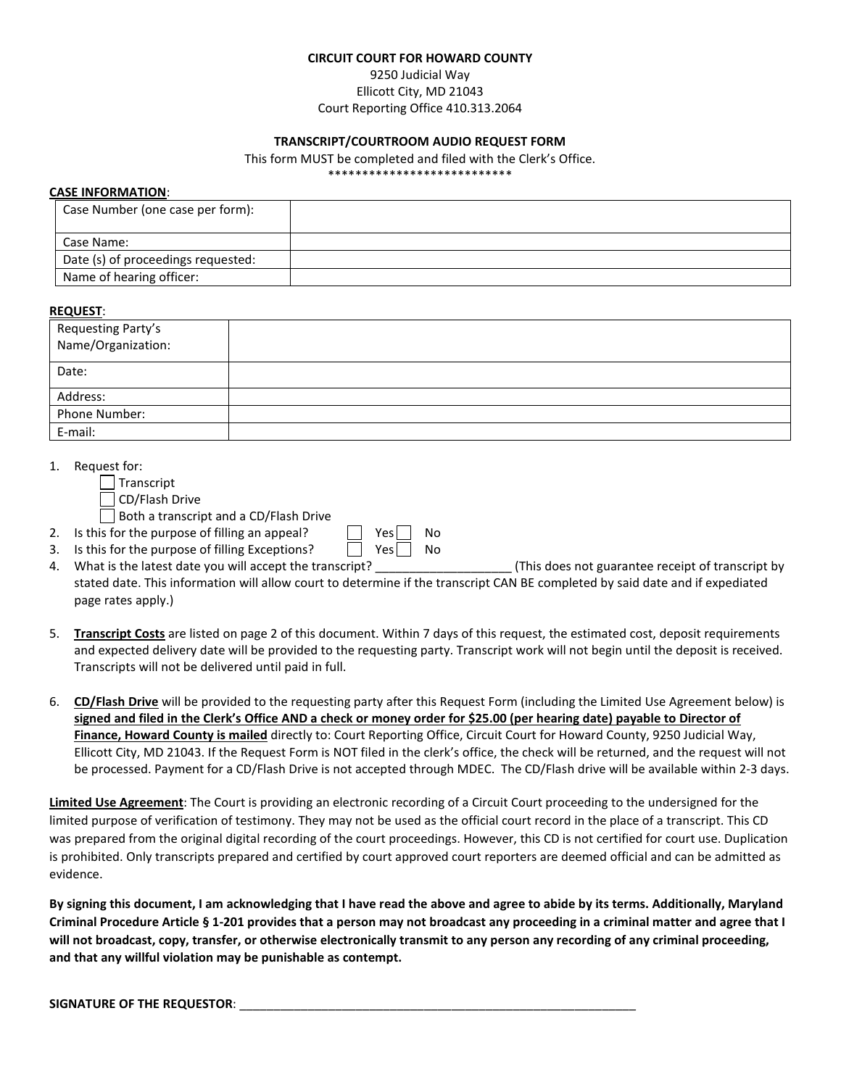#### **CIRCUIT COURT FOR HOWARD COUNTY**

# 9250 Judicial Way Ellicott City, MD 21043 Court Reporting Office 410.313.2064

### **TRANSCRIPT/COURTROOM AUDIO REQUEST FORM**

This form MUST be completed and filed with the Clerk's Office.

\*\*\*\*\*\*\*\*\*\*\*\*\*\*\*\*\*\*\*\*\*\*\*\*\*\*\*

#### **CASE INFORMATION**:

| Case Number (one case per form):   |  |
|------------------------------------|--|
| Case Name:                         |  |
| Date (s) of proceedings requested: |  |
| Name of hearing officer:           |  |

#### **REQUEST**:

| $\sim$ $\sim$ $\sim$ $\sim$<br>Requesting Party's<br>Name/Organization: |  |
|-------------------------------------------------------------------------|--|
| Date:                                                                   |  |
| Address:                                                                |  |
| Phone Number:                                                           |  |
| E-mail:                                                                 |  |

1. Request for:

| Transcript |  |
|------------|--|
|            |  |

|  | CD/Flash Drive |
|--|----------------|
|  |                |

Both a transcript and a CD/Flash Drive

- 2. Is this for the purpose of filling an appeal?  $\Box$  Yes  $\Box$  No
- 3. Is this for the purpose of filling Exceptions?  $\Box$  Yes  $\Box$  No
- 4. What is the latest date you will accept the transcript? \_\_\_\_\_\_\_\_\_\_\_\_\_\_\_\_\_\_\_\_ (This does not guarantee receipt of transcript by stated date. This information will allow court to determine if the transcript CAN BE completed by said date and if expediated page rates apply.)
- 5. **Transcript Costs** are listed on page 2 of this document. Within 7 days of this request, the estimated cost, deposit requirements and expected delivery date will be provided to the requesting party. Transcript work will not begin until the deposit is received. Transcripts will not be delivered until paid in full.
- 6. **CD/Flash Drive** will be provided to the requesting party after this Request Form (including the Limited Use Agreement below) is **signed and filed in the Clerk's Office AND a check or money order for \$25.00 (per hearing date) payable to Director of Finance, Howard County is mailed** directly to: Court Reporting Office, Circuit Court for Howard County, 9250 Judicial Way, Ellicott City, MD 21043. If the Request Form is NOT filed in the clerk's office, the check will be returned, and the request will not be processed. Payment for a CD/Flash Drive is not accepted through MDEC. The CD/Flash drive will be available within 2-3 days.

**Limited Use Agreement**: The Court is providing an electronic recording of a Circuit Court proceeding to the undersigned for the limited purpose of verification of testimony. They may not be used as the official court record in the place of a transcript. This CD was prepared from the original digital recording of the court proceedings. However, this CD is not certified for court use. Duplication is prohibited. Only transcripts prepared and certified by court approved court reporters are deemed official and can be admitted as evidence.

**By signing this document, I am acknowledging that I have read the above and agree to abide by its terms. Additionally, Maryland Criminal Procedure Article § 1-201 provides that a person may not broadcast any proceeding in a criminal matter and agree that I will not broadcast, copy, transfer, or otherwise electronically transmit to any person any recording of any criminal proceeding, and that any willful violation may be punishable as contempt.** 

### SIGNATURE OF THE REQUESTOR: \_\_